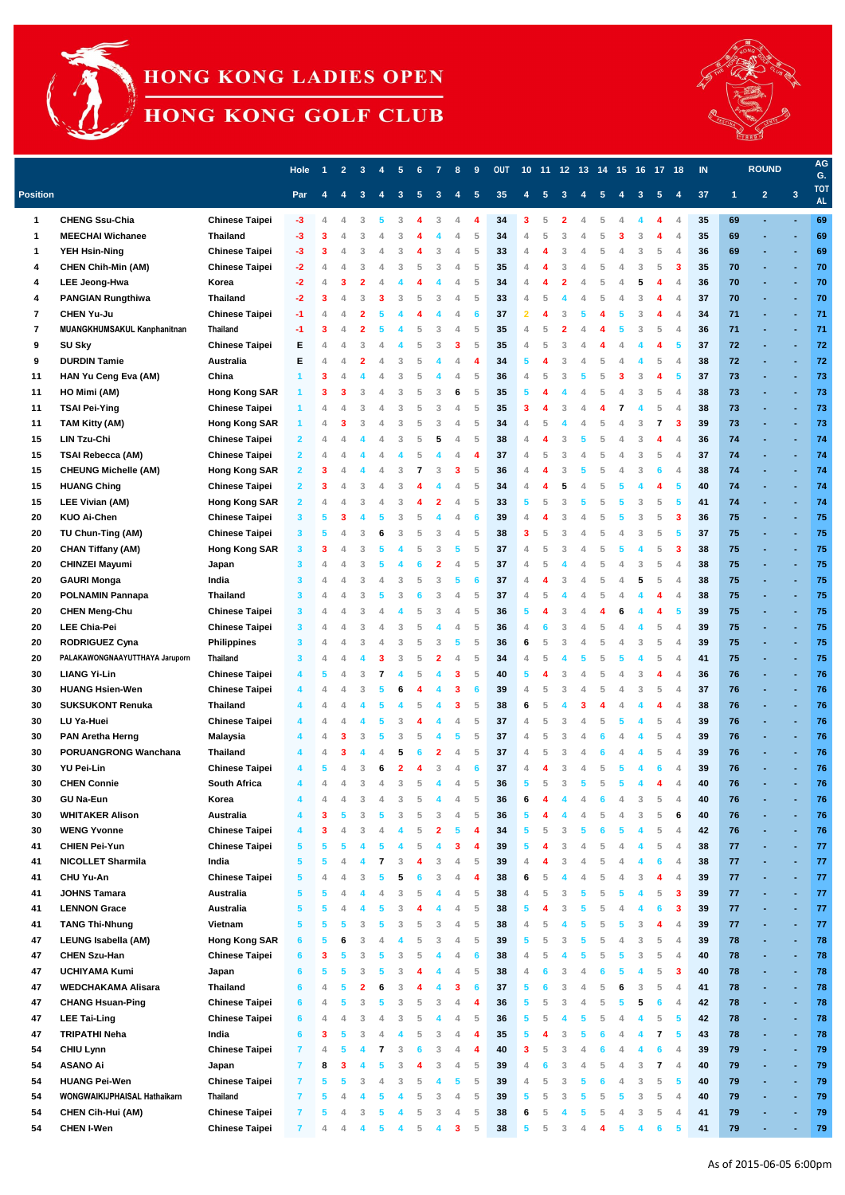

## HONG KONG LADIES OPEN

HONG KONG GOLF CLUB



|                 |                                |                       | <b>Hole</b>  |   | $\overline{2}$ | 3 |   | 5 | 6 |   | 8 | 9  | <b>OUT</b> |   |   |   |   |   |    |   | 10 11 12 13 14 15 16 17 18 |                | $\blacksquare$ |      | <b>ROUND</b>   |                         | AG<br>G.                |
|-----------------|--------------------------------|-----------------------|--------------|---|----------------|---|---|---|---|---|---|----|------------|---|---|---|---|---|----|---|----------------------------|----------------|----------------|------|----------------|-------------------------|-------------------------|
| <b>Position</b> |                                |                       | Par          |   |                |   |   |   |   |   |   |    | 35         |   |   |   |   |   |    |   |                            |                | 37             |      | $\overline{2}$ | $\overline{\mathbf{3}}$ | <b>TOT</b><br><b>AL</b> |
| $\mathbf 1$     | <b>CHENG Ssu-Chia</b>          | <b>Chinese Taipei</b> |              |   |                |   |   |   |   |   |   |    | 34         |   |   |   |   |   |    |   |                            |                | 35             | 69   |                |                         | 69                      |
| 1               | <b>MEECHAI Wichanee</b>        | <b>Thailand</b>       | -3.          |   |                |   |   |   |   |   |   | 5  | 34         |   |   |   |   |   |    | 3 |                            | $\overline{4}$ | 35             | 69   |                |                         | 69                      |
| 1               | <b>YEH Hsin-Ning</b>           | <b>Chinese Taipei</b> | $-3$         |   |                | 3 |   | ె |   | 3 |   | 5  | 33         |   |   |   |   |   |    | 3 | 5                          | $\overline{4}$ | 36             | 69   |                |                         | 69                      |
| 4               | <b>CHEN Chih-Min (AM)</b>      | <b>Chinese Taipei</b> | $-2$         |   |                |   |   | 3 |   |   |   | 5  | 35         |   |   |   |   |   |    | 3 | 5                          | -3             | 35             | 70   |                |                         | 70                      |
| 4               | <b>LEE Jeong-Hwa</b>           | Korea                 | -2           |   |                |   |   |   |   |   |   | 5  | 34         |   |   |   |   |   |    |   |                            | $\overline{A}$ | 36             | 70   |                | ٠                       | 70                      |
| 4               | <b>PANGIAN Rungthiwa</b>       | <b>Thailand</b>       | -2           |   |                |   |   | З |   |   |   | 5  | 33         |   |   |   |   |   |    |   |                            | $\overline{4}$ | 37             | 70   |                |                         | 70                      |
| 7               | <b>CHEN Yu-Ju</b>              | <b>Chinese Taipei</b> | -1           |   |                |   |   |   |   |   |   | -6 | 37         |   |   |   |   |   |    |   |                            | 4              | 34             | $71$ |                | ٠                       | 71                      |
| 7               | MUANGKHUMSAKUL Kanphanitnan    | <b>Thailand</b>       |              |   |                |   |   |   |   |   |   | 5  | 35         |   |   |   |   |   |    |   | 5                          | $\overline{A}$ | 36             | 71   |                | ä,                      | 71                      |
| 9               | <b>SU Sky</b>                  | <b>Chinese Taipei</b> | Е            |   |                |   |   |   |   |   |   | 5  | 35         |   |   |   |   |   |    |   |                            | 5              | 37             | 72   |                | ٠                       | 72                      |
| 9               | <b>DURDIN Tamie</b>            | <b>Australia</b>      | Е            |   |                |   |   |   |   |   |   |    | 34         |   |   |   |   |   |    |   |                            | $\overline{A}$ | 38             | 72   |                |                         | 72                      |
| 11              | HAN Yu Ceng Eva (AM)           | China                 |              |   |                |   |   | 3 |   |   |   | 5  | 36         |   |   |   |   |   |    |   |                            | 5              | 37             | 73   |                | ä,                      | 73                      |
| 11              | HO Mimi (AM)                   | <b>Hong Kong SAR</b>  |              |   |                | З |   | 3 | 5 | З |   | 5  | 35         |   |   |   |   |   |    |   | 5                          | 4              | 38             | 73   |                | ٠                       | 73                      |
| 11              | <b>TSAI Pei-Ying</b>           | <b>Chinese Taipei</b> |              |   |                |   |   | 3 | 5 | 3 |   | 5  | 35         |   |   |   |   |   |    |   | 5                          | $\overline{4}$ | 38             | 73   |                |                         | 73                      |
| 11              | <b>TAM Kitty (AM)</b>          | <b>Hong Kong SAR</b>  |              |   |                |   |   | 3 |   |   |   | 5  | 34         |   |   |   |   |   |    |   |                            | -3             | 39             | 73   |                | ٠                       | 73                      |
| 15              | <b>LIN Tzu-Chi</b>             | <b>Chinese Taipei</b> |              |   |                |   |   |   |   |   |   | 5  | 38         |   |   |   |   |   |    |   |                            | $\overline{A}$ | 36             | 74   |                | ٠                       | 74                      |
| 15              | <b>TSAI Rebecca (AM)</b>       | <b>Chinese Taipei</b> |              |   |                |   |   |   |   |   |   |    | 37         |   |   |   |   |   |    |   | 5                          | $\overline{4}$ | 37             | 74   |                |                         | 74                      |
| 15              | <b>CHEUNG Michelle (AM)</b>    | <b>Hong Kong SAR</b>  | $\mathbf{2}$ |   |                |   |   | 3 |   | З |   | 5  | 36         |   |   |   |   |   |    | 3 | 6                          | $\overline{4}$ | 38             | 74   |                | ÷                       | 74                      |
| 15              | <b>HUANG Ching</b>             | <b>Chinese Taipei</b> |              |   |                |   |   |   |   |   |   | 5  | 34         |   |   |   |   |   |    |   |                            | 5              | 40             | 74   |                | ٠                       | 74                      |
| 15              | <b>LEE Vivian (AM)</b>         | <b>Hong Kong SAR</b>  |              |   |                |   |   |   |   |   |   | 5  | 33         |   |   |   |   |   |    | 3 | 5                          | 5              | 41             | 74   |                |                         | 74                      |
| 20              | <b>KUO Ai-Chen</b>             | <b>Chinese Taipei</b> | 3            |   |                |   |   | 3 |   |   |   |    | 39         |   |   |   |   |   |    | 3 | 5                          | 3              | 36             | 75   |                |                         | 75                      |
| 20              | TU Chun-Ting (AM)              | <b>Chinese Taipei</b> |              |   |                |   |   | 3 |   | 3 |   | 5  | 38         |   |   |   |   |   |    |   | 5                          | 5              | 37             | 75   |                | ä,                      | 75                      |
| 20              | <b>CHAN Tiffany (AM)</b>       | <b>Hong Kong SAR</b>  | 3.           |   |                | З |   |   |   | 3 |   | 5  | 37         | Δ | 5 |   |   |   |    |   | 5                          | 3              | 38             | 75   |                | ٠                       | 75                      |
| 20              | <b>CHINZEI Mayumi</b>          | Japan                 |              |   |                |   |   |   |   |   |   | 5  | 37         |   |   |   |   |   |    |   | 5                          | $\Delta$       | 38             | 75   |                |                         | 75                      |
| 20              | <b>GAURI Monga</b>             | India                 |              |   |                |   |   | 3 |   |   |   |    | 37         |   |   |   |   |   |    | 5 | 5                          | 4              | 38             | 75   |                |                         | 75                      |
| 20              | <b>POLNAMIN Pannapa</b>        | <b>Thailand</b>       | 3.           |   |                |   |   |   |   |   |   | 5  | 37         |   |   |   |   |   |    |   |                            | 4              | 38             | 75   |                |                         | 75                      |
| 20              | <b>CHEN Meng-Chu</b>           | <b>Chinese Taipei</b> |              |   |                | 3 |   |   |   |   |   | 5  | 36         |   |   |   |   |   | 6  |   |                            | 5              | 39             | 75   |                |                         | 75                      |
| 20              | <b>LEE Chia-Pei</b>            | <b>Chinese Taipei</b> | 3            |   |                | 3 |   | 3 | 5 |   |   | 5  | 36         | ◢ |   |   |   | 5 |    |   | 5                          | 4              | 39             | 75   |                | ٠                       | 75                      |
| 20              | <b>RODRIGUEZ Cyna</b>          | <b>Philippines</b>    | 3            |   |                | 3 |   | 3 | 5 | 3 |   | 5  | 36         | 6 | 5 | 3 |   | 5 |    | 3 | 5                          | $\overline{4}$ | 39             | 75   |                | ×,                      | 75                      |
| 20              | PALAKAWONGNAAYUTTHAYA Jaruporn | <b>Thailand</b>       |              |   |                |   |   | 3 |   | 2 |   | 5  | 34         |   |   |   |   | 5 |    |   | 5                          | $\overline{4}$ | 41             | 75   |                | ÷                       | 75                      |
| 30              | <b>LIANG Yi-Lin</b>            | <b>Chinese Taipei</b> |              |   |                | 3 |   |   |   |   |   | 5  | 40         |   |   | 3 |   | 5 |    | 3 |                            | $\overline{4}$ | 36             | 76   |                | ٠                       | 76                      |
| 30              | <b>HUANG Hsien-Wen</b>         | <b>Chinese Taipei</b> |              |   |                |   |   |   |   |   |   |    | 39         |   |   |   |   |   |    | 3 | 5                          | $\overline{4}$ | 37             | 76   |                | ä,                      | 76                      |
| 30              | <b>SUKSUKONT Renuka</b>        | <b>Thailand</b>       |              |   |                |   |   |   |   |   |   | 5  | 38         | 6 | 5 |   |   |   |    |   |                            | $\overline{4}$ | 38             | 76   |                | ٠                       | 76                      |
| 30              | LU Ya-Huei                     | <b>Chinese Taipei</b> |              |   |                |   |   | 3 |   |   |   | 5  | 37         |   | 5 |   |   | 5 |    |   | 5                          | $\overline{A}$ | 39             | 76   |                | ä,                      | 76                      |
| 30              | <b>PAN Aretha Herng</b>        | <b>Malaysia</b>       |              |   |                | 3 |   | 3 |   |   |   | 5  | 37         |   | 5 |   |   |   |    |   | 5                          | $\overline{4}$ | 39             | 76   |                | ٠                       | 76                      |
| 30              | <b>PORUANGRONG Wanchana</b>    | <b>Thailand</b>       |              |   |                |   |   |   |   | 2 |   | 5  | 37         |   | 5 |   |   |   |    |   | 5                          | $\overline{4}$ | 39             | 76   |                |                         | 76                      |
| 30              | <b>YU Pei-Lin</b>              | <b>Chinese Taipei</b> |              |   |                |   |   |   |   |   |   |    | 37         |   |   |   |   |   |    |   |                            | $\overline{4}$ | 39             | 76   |                | ÷,                      | 76                      |
| 30              | <b>CHEN Connie</b>             | <b>South Africa</b>   |              |   |                | 3 |   | 3 | 5 |   |   | 5  | 36         | 5 | 5 | 3 |   | 5 |    |   |                            | $\overline{4}$ | 40             | 76   |                | ٠                       | 76                      |
| 30              | <b>GU Na-Eun</b>               | Korea                 |              |   |                | 3 |   | 3 | 5 |   |   | 5  | 36         | 6 |   |   |   |   |    | 3 | 5                          | $\overline{4}$ | 40             | 76   |                | ×,                      | 76                      |
| 30              | <b>WHITAKER Alison</b>         | <b>Australia</b>      |              |   |                | 3 |   | 3 |   | 3 |   | 5  | 36         |   |   |   |   |   |    | 3 | 5                          | 6              | 40             | 76   |                | ٠                       | 76                      |
| 30              | <b>WENG Yvonne</b>             | <b>Chinese Taipei</b> |              |   |                | 3 |   |   |   | 2 |   |    | 34         |   | 5 |   |   |   |    |   | 5                          | $\overline{4}$ | 42             | 76   |                | ٠                       | 76                      |
| 41              | <b>CHIEN Pei-Yun</b>           | <b>Chinese Taipei</b> | 5            |   |                |   |   |   |   |   |   |    | 39         |   |   |   |   |   |    |   | 5                          | $\overline{4}$ | 38             | 77   |                |                         | 77                      |
| 41              | <b>NICOLLET Sharmila</b>       | India                 | 5            |   |                |   |   | 3 |   | 3 |   | 5  | 39         | Δ |   |   |   | 5 |    |   | 6                          | $\overline{4}$ | 38             | 77   |                | ٠                       | 77                      |
| 41              | <b>CHU Yu-An</b>               | <b>Chinese Taipei</b> | 5            |   |                |   |   |   |   | 3 |   |    | 38         | 6 | 5 |   |   | 5 |    |   |                            | $\overline{A}$ | 39             | 77   |                | ä,                      | 77                      |
| 41              | <b>JOHNS Tamara</b>            | Australia             |              |   |                |   |   | 3 |   |   |   | 5  | 38         |   | 5 | 3 |   | 5 |    |   | 5                          | 3              | 39             | 77   |                | ٠                       | 77                      |
| 41              | <b>LENNON Grace</b>            | Australia             |              |   |                |   |   | 3 |   |   |   | 5  | 38         |   |   |   |   |   |    |   | 6                          | 3              | 39             | 77   |                |                         | 77                      |
| 41              | <b>TANG Thi-Nhung</b>          | Vietnam               |              |   |                | 3 |   | 3 | 5 | 3 |   | 5  | 38         |   | 5 |   |   | 5 |    |   |                            | $\overline{4}$ | 39             | 77   |                | ÷,                      | 77                      |
| 47              | <b>LEUNG Isabella (AM)</b>     | <b>Hong Kong SAR</b>  | 6.           | 5 | 6              | 3 |   |   | 5 | 3 | 4 | 5  | 39         | 5 | 5 | 3 | 5 | 5 |    | 3 | 5                          | $\overline{4}$ | 39             | 78   |                | ٠                       | 78                      |
| 47              | <b>CHEN Szu-Han</b>            | <b>Chinese Taipei</b> |              |   |                | 3 |   | 3 | 5 |   |   | 6  | 38         |   | 5 |   |   | 5 |    | 3 | 5                          | $\overline{4}$ | 40             | 78   |                |                         | 78                      |
| 47              | <b>UCHIYAMA Kumi</b>           | Japan                 |              |   |                | 3 |   | 3 |   |   |   | 5  | 38         | Δ |   | 3 | Δ |   |    |   | 5                          | 3              | 40             | 78   |                | ٠                       | 78                      |
| 47              | <b>WEDCHAKAMA Alisara</b>      | <b>Thailand</b>       | 6            |   |                | 2 |   | 3 |   |   |   | 6  | 37         |   | 6 | 3 |   |   |    | 3 | 5                          | $\overline{4}$ | 41             | 78   |                | ٠                       | 78                      |
| 47              | <b>CHANG Hsuan-Ping</b>        | <b>Chinese Taipei</b> | 6.           |   |                | 3 |   | 3 | 5 | 3 |   |    | 36         | 5 | 5 |   |   | 5 |    | 5 | 6                          | $\overline{4}$ | 42             | 78   |                |                         | 78                      |
| 47              | <b>LEE Tai-Ling</b>            | <b>Chinese Taipei</b> | 6.           | 4 |                | 3 |   | 3 | 5 |   |   | 5  | 36         | 5 | 5 |   | 5 | 5 |    |   | 5                          | 5              | 42             | 78   |                | ä,                      | 78                      |
| 47              | <b>TRIPATHI Neha</b>           | India                 |              |   |                |   |   |   |   | З |   |    | 35         |   |   |   |   |   |    |   | 7                          | 5              | 43             | 78   |                |                         | 78                      |
| 54              | <b>CHIU Lynn</b>               | <b>Chinese Taipei</b> |              |   |                |   |   | 3 |   | 3 |   |    | 40         |   |   |   |   |   |    |   | 6                          | $\overline{4}$ | 39             | 79   |                |                         | 79                      |
| 54              | <b>ASANO Ai</b>                | Japan                 |              | 8 | 3              |   | 5 | 3 | 4 | 3 | 4 | 5  | 39         | 4 | 6 | 3 | 4 | 5 | 4  | 3 | 7                          | 4              | 40             | 79   |                |                         | 79                      |
| 54              | <b>HUANG Pei-Wen</b>           | <b>Chinese Taipei</b> |              |   |                |   |   |   |   |   |   |    | 39         |   |   |   |   |   |    |   | 5                          | 5              | 40             | 79   |                |                         | 79                      |
| 54              | WONGWAIKIJPHAISAL Hathaikarn   | Thailand              |              |   |                |   |   |   |   | З |   | 5  | 39         | 5 | 5 |   | 5 | 5 |    | 3 | 5                          | $\overline{4}$ | 40             | 79   |                |                         | 79                      |
| 54              | <b>CHEN Cih-Hui (AM)</b>       | <b>Chinese Taipei</b> |              |   |                | 3 |   |   | 5 | 3 |   | 5  | 38         |   |   |   |   | 5 |    | 3 | 5                          | 4              | 41             | 79   |                |                         | 79                      |
| 54              | <b>CHEN I-Wen</b>              | <b>Chinese Taipei</b> |              |   |                |   |   |   | 5 |   | 3 | 5  | 38         | 5 | 5 | 3 |   |   | 5. |   | 6                          | $\sqrt{5}$     | 41             | 79   |                |                         | 79                      |

As of 2015-06-05 6:00pm